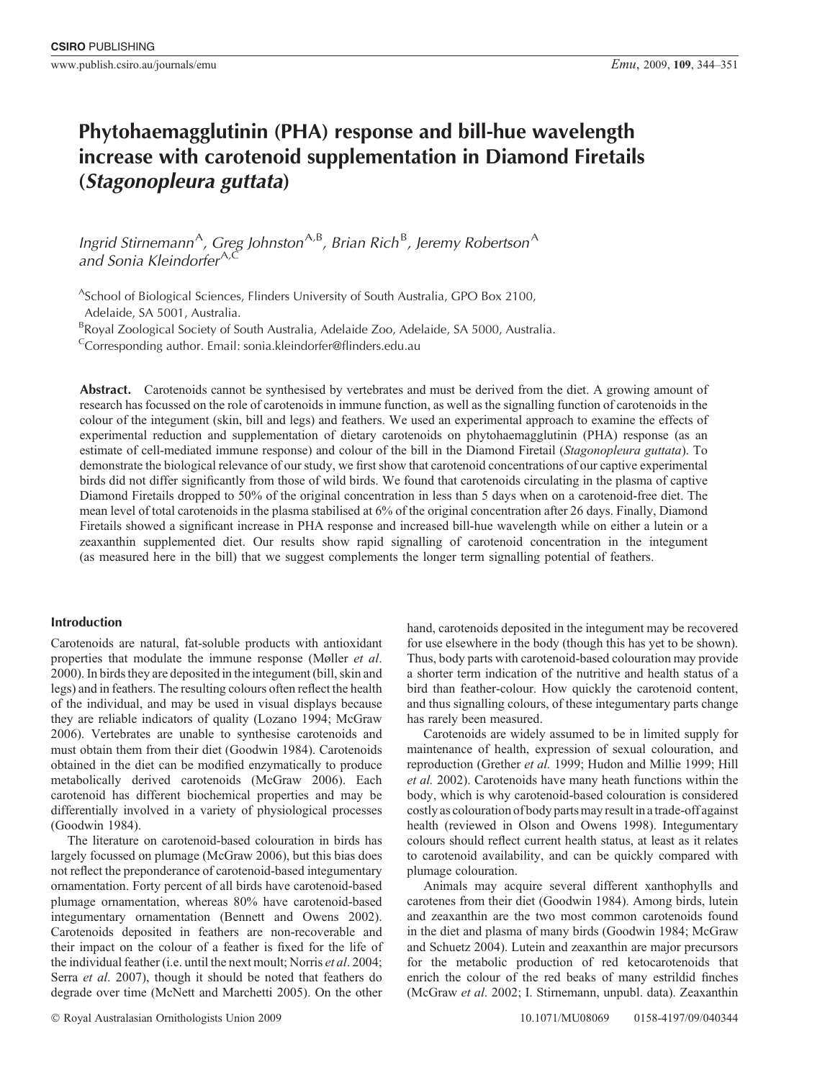# **Phytohaemagglutinin (PHA) response and bill-hue wavelength increase with carotenoid supplementation in Diamond Firetails (***Stagonopleura guttata***)**

Ingrid Stirnemann<sup>A</sup>, Greg Johnston<sup>A,B</sup>, Brian Rich<sup>B</sup>, Jeremy Robertson<sup>A</sup> *and Sonia Kleindorfer*A*,*<sup>C</sup>

<sup>A</sup>School of Biological Sciences, Flinders University of South Australia, GPO Box 2100, Adelaide, SA 5001, Australia.

<sup>B</sup>Royal Zoological Society of South Australia, Adelaide Zoo, Adelaide, SA 5000, Australia.

 $\text{C}$ Corresponding author. Email: sonia.kleindorfer@flinders.edu.au

Abstract. Carotenoids cannot be synthesised by vertebrates and must be derived from the diet. A growing amount of research has focussed on the role of carotenoids in immune function, as well as the signalling function of carotenoids in the colour of the integument (skin, bill and legs) and feathers. We used an experimental approach to examine the effects of experimental reduction and supplementation of dietary carotenoids on phytohaemagglutinin (PHA) response (as an estimate of cell-mediated immune response) and colour of the bill in the Diamond Firetail (*Stagonopleura guttata*). To demonstrate the biological relevance of our study, we first show that carotenoid concentrations of our captive experimental birds did not differ significantly from those of wild birds. We found that carotenoids circulating in the plasma of captive Diamond Firetails dropped to 50% of the original concentration in less than 5 days when on a carotenoid-free diet. The mean level of total carotenoids in the plasma stabilised at 6% of the original concentration after 26 days. Finally, Diamond Firetails showed a significant increase in PHA response and increased bill-hue wavelength while on either a lutein or a zeaxanthin supplemented diet. Our results show rapid signalling of carotenoid concentration in the integument (as measured here in the bill) that we suggest complements the longer term signalling potential of feathers.

# **Introduction**

Carotenoids are natural, fat-soluble products with antioxidant properties that modulate the immune response ([Møller](#page-7-0) *et al*. [2000\)](#page-7-0). In birds they are deposited in the integument (bill, skin and legs) and in feathers. The resulting colours often reflect the health of the individual, and may be used in visual displays because they are reliable indicators of quality [\(Lozano 1994; McGraw](#page-6-0) [2006\)](#page-6-0). Vertebrates are unable to synthesise carotenoids and must obtain them from their diet ([Goodwin 1984](#page-6-0)). Carotenoids obtained in the diet can be modified enzymatically to produce metabolically derived carotenoids [\(McGraw 2006](#page-6-0)). Each carotenoid has different biochemical properties and may be differentially involved in a variety of physiological processes ([Goodwin 1984\)](#page-6-0).

The literature on carotenoid-based colouration in birds has largely focussed on plumage [\(McGraw 2006\)](#page-6-0), but this bias does not reflect the preponderance of carotenoid-based integumentary ornamentation. Forty percent of all birds have carotenoid-based plumage ornamentation, whereas 80% have carotenoid-based integumentary ornamentation ([Bennett and Owens 2002](#page-6-0)). Carotenoids deposited in feathers are non-recoverable and their impact on the colour of a feather is fixed for the life of the individual feather (i.e. until the next moult; [Norris](#page-7-0) *et al*. 2004; Serra *et al*[. 2007](#page-7-0)), though it should be noted that feathers do degrade over time [\(McNett and Marchetti 2005\)](#page-7-0). On the other hand, carotenoids deposited in the integument may be recovered for use elsewhere in the body (though this has yet to be shown). Thus, body parts with carotenoid-based colouration may provide a shorter term indication of the nutritive and health status of a bird than feather-colour. How quickly the carotenoid content, and thus signalling colours, of these integumentary parts change has rarely been measured.

Carotenoids are widely assumed to be in limited supply for maintenance of health, expression of sexual colouration, and reproduction [\(Grether](#page-6-0) *et al.* 1999; [Hudon and Millie 1999](#page-6-0); [Hill](#page-6-0) *[et al.](#page-6-0)* 2002). Carotenoids have many heath functions within the body, which is why carotenoid-based colouration is considered costly as colouration of body parts may result in a trade-off against health (reviewed in [Olson and Owens 1998\)](#page-7-0). Integumentary colours should reflect current health status, at least as it relates to carotenoid availability, and can be quickly compared with plumage colouration.

Animals may acquire several different xanthophylls and carotenes from their diet [\(Goodwin 1984\)](#page-6-0). Among birds, lutein and zeaxanthin are the two most common carotenoids found in the diet and plasma of many birds ([Goodwin 1984](#page-6-0); [McGraw](#page-7-0) [and Schuetz 2004](#page-7-0)). Lutein and zeaxanthin are major precursors for the metabolic production of red ketocarotenoids that enrich the colour of the red beaks of many estrildid finches ([McGraw](#page-7-0) *et al*. 2002; I. Stirnemann, unpubl. data). Zeaxanthin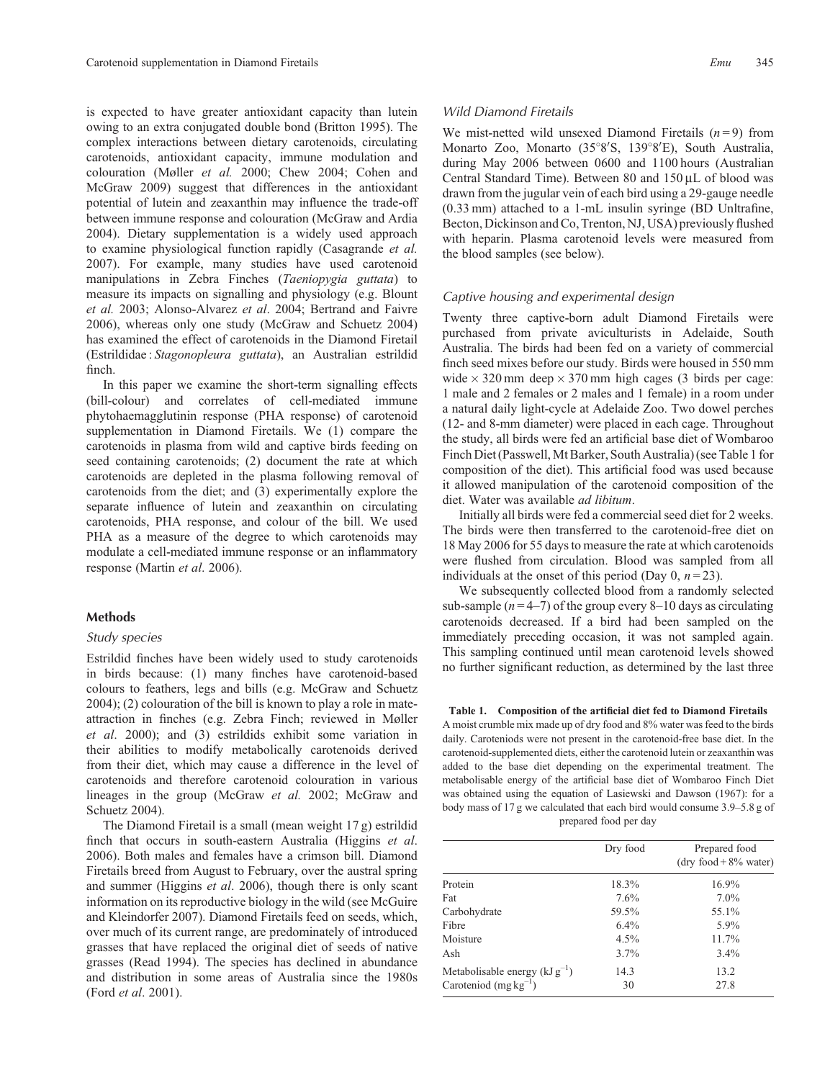<span id="page-1-0"></span>is expected to have greater antioxidant capacity than lutein owing to an extra conjugated double bond [\(Britton 1995\)](#page-6-0). The complex interactions between dietary carotenoids, circulating carotenoids, antioxidant capacity, immune modulation and colouration [\(Møller](#page-7-0) *et al.* 2000; [Chew 2004; Cohen and](#page-6-0) [McGraw 2009](#page-6-0)) suggest that differences in the antioxidant potential of lutein and zeaxanthin may influence the trade-off between immune response and colouration [\(McGraw and Ardia](#page-7-0) [2004](#page-7-0)). Dietary supplementation is a widely used approach to examine physiological function rapidly [\(Casagrande](#page-6-0) *et al.* [2007](#page-6-0)). For example, many studies have used carotenoid manipulations in Zebra Finches (*Taeniopygia guttata*) to measure its impacts on signalling and physiology (e.g. [Blount](#page-6-0) *[et al.](#page-6-0)* 2003; [Alonso-Alvarez](#page-6-0) *et al*. 2004; [Bertrand and Faivre](#page-6-0) [2006](#page-6-0)), whereas only one study ([McGraw and Schuetz 2004\)](#page-7-0) has examined the effect of carotenoids in the Diamond Firetail (Estrildidae : *Stagonopleura guttata*), an Australian estrildid finch.

In this paper we examine the short-term signalling effects (bill-colour) and correlates of cell-mediated immune phytohaemagglutinin response (PHA response) of carotenoid supplementation in Diamond Firetails. We (1) compare the carotenoids in plasma from wild and captive birds feeding on seed containing carotenoids; (2) document the rate at which carotenoids are depleted in the plasma following removal of carotenoids from the diet; and (3) experimentally explore the separate influence of lutein and zeaxanthin on circulating carotenoids, PHA response, and colour of the bill. We used PHA as a measure of the degree to which carotenoids may modulate a cell-mediated immune response or an inflammatory response ([Martin](#page-6-0) *et al*. 2006).

# **Methods**

## *Study species*

Estrildid finches have been widely used to study carotenoids in birds because: (1) many finches have carotenoid-based colours to feathers, legs and bills (e.g. [McGraw and Schuetz](#page-7-0) [2004](#page-7-0)); (2) colouration of the bill is known to play a role in mateattraction in finches (e.g. Zebra Finch; reviewed in [Møller](#page-7-0) *et al*[. 2000](#page-7-0)); and (3) estrildids exhibit some variation in their abilities to modify metabolically carotenoids derived from their diet, which may cause a difference in the level of carotenoids and therefore carotenoid colouration in various lineages in the group [\(McGraw](#page-7-0) *et al.* 2002; [McGraw and](#page-7-0) [Schuetz 2004\)](#page-7-0).

The Diamond Firetail is a small (mean weight 17 g) estrildid finch that occurs in south-eastern Australia [\(Higgins](#page-6-0) *et al*. [2006](#page-6-0)). Both males and females have a crimson bill. Diamond Firetails breed from August to February, over the austral spring and summer [\(Higgins](#page-6-0) *et al*. 2006), though there is only scant information on its reproductive biology in the wild (see [McGuire](#page-7-0) [and Kleindorfer 2007](#page-7-0)). Diamond Firetails feed on seeds, which, over much of its current range, are predominately of introduced grasses that have replaced the original diet of seeds of native grasses [\(Read 1994\)](#page-7-0). The species has declined in abundance and distribution in some areas of Australia since the 1980s (Ford *et al*[. 2001](#page-6-0)).

# *Wild Diamond Firetails*

We mist-netted wild unsexed Diamond Firetails  $(n=9)$  from Monarto Zoo, Monarto (35°8'S, 139°8'E), South Australia, during May 2006 between 0600 and 1100 hours (Australian Central Standard Time). Between 80 and 150 µL of blood was drawn from the jugular vein of each bird using a 29-gauge needle (0.33 mm) attached to a 1-mL insulin syringe (BD Unltrafine, Becton, Dickinson and Co, Trenton, NJ, USA) previously flushed with heparin. Plasma carotenoid levels were measured from the blood samples (see below).

## *Captive housing and experimental design*

Twenty three captive-born adult Diamond Firetails were purchased from private aviculturists in Adelaide, South Australia. The birds had been fed on a variety of commercial finch seed mixes before our study. Birds were housed in 550 mm wide  $\times$  320 mm deep  $\times$  370 mm high cages (3 birds per cage: 1 male and 2 females or 2 males and 1 female) in a room under a natural daily light-cycle at Adelaide Zoo. Two dowel perches (12- and 8-mm diameter) were placed in each cage. Throughout the study, all birds were fed an artificial base diet of Wombaroo Finch Diet (Passwell, Mt Barker, South Australia) (see Table 1 for composition of the diet). This artificial food was used because it allowed manipulation of the carotenoid composition of the diet. Water was available *ad libitum*.

Initially all birds were fed a commercial seed diet for 2 weeks. The birds were then transferred to the carotenoid-free diet on 18 May 2006 for 55 days to measure the rate at which carotenoids were flushed from circulation. Blood was sampled from all individuals at the onset of this period (Day  $0, n = 23$ ).

We subsequently collected blood from a randomly selected sub-sample  $(n=4-7)$  of the group every 8–10 days as circulating carotenoids decreased. If a bird had been sampled on the immediately preceding occasion, it was not sampled again. This sampling continued until mean carotenoid levels showed no further significant reduction, as determined by the last three

**Table 1. Composition of the artificial diet fed to Diamond Firetails**

A moist crumble mix made up of dry food and 8% water was feed to the birds daily. Caroteniods were not present in the carotenoid-free base diet. In the carotenoid-supplemented diets, either the carotenoid lutein or zeaxanthin was added to the base diet depending on the experimental treatment. The metabolisable energy of the artificial base diet of Wombaroo Finch Diet was obtained using the equation of Lasiewski and Dawson (1967): for a body mass of 17 g we calculated that each bird would consume 3.9–5.8 g of prepared food per day

|                                                                | Dry food   | Prepared food<br>$(dry food + 8\% water)$ |
|----------------------------------------------------------------|------------|-------------------------------------------|
| Protein                                                        | 18.3%      | 16.9%                                     |
| Fat                                                            | 7.6%       | $7.0\%$                                   |
| Carbohydrate                                                   | 59.5%      | 55.1%                                     |
| Fibre                                                          | 6.4%       | 5.9%                                      |
| Moisture                                                       | $4.5\%$    | 11.7%                                     |
| Ash                                                            | $3.7\%$    | 3.4%                                      |
| Metabolisable energy $(kJg^{-1})$<br>Caroteniod $(mg kg^{-1})$ | 14.3<br>30 | 13.2<br>27.8                              |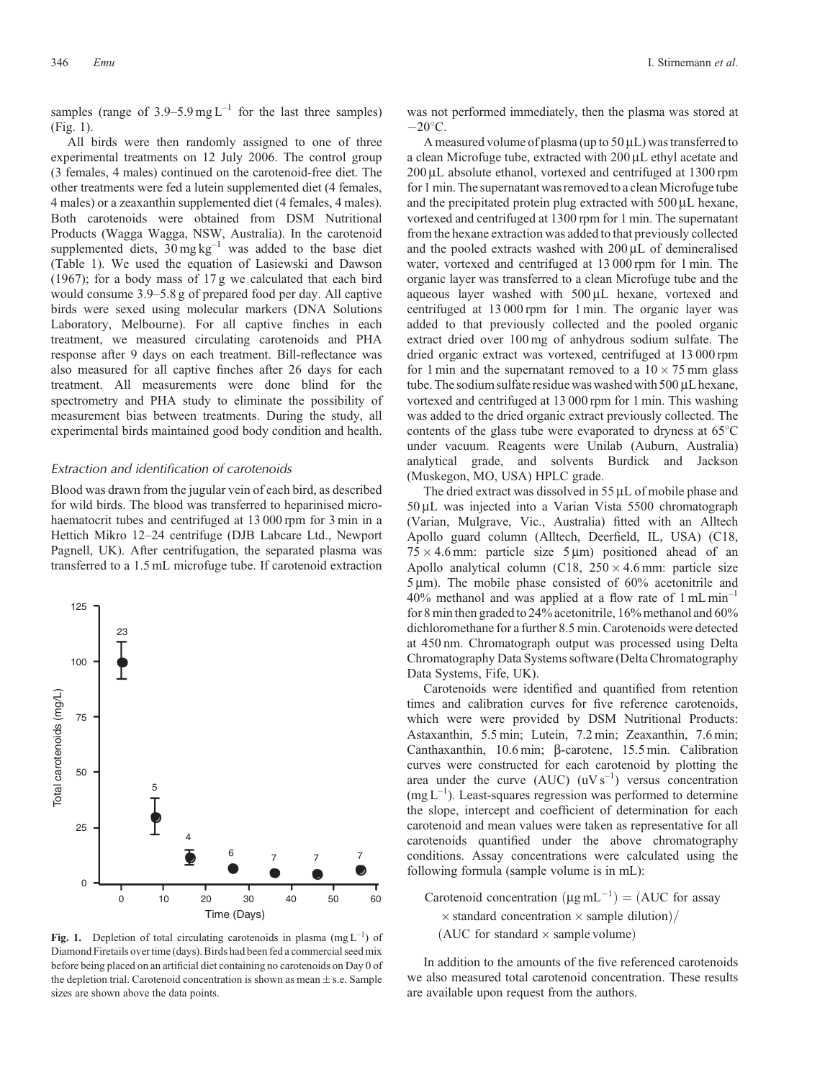<span id="page-2-0"></span>samples (range of 3.9–5.9 mg  $L^{-1}$  for the last three samples) (Fig. 1).

All birds were then randomly assigned to one of three experimental treatments on 12 July 2006. The control group (3 females, 4 males) continued on the carotenoid-free diet. The other treatments were fed a lutein supplemented diet (4 females, 4 males) or a zeaxanthin supplemented diet (4 females, 4 males). Both carotenoids were obtained from DSM Nutritional Products (Wagga Wagga, NSW, Australia). In the carotenoid supplemented diets,  $30 \text{ mg kg}^{-1}$  was added to the base diet ([Table 1](#page-1-0)). We used the equation of [Lasiewski and Dawson](#page-6-0) [\(1967\);](#page-6-0) for a body mass of 17 g we calculated that each bird would consume 3.9–5.8 g of prepared food per day. All captive birds were sexed using molecular markers (DNA Solutions Laboratory, Melbourne). For all captive finches in each treatment, we measured circulating carotenoids and PHA response after 9 days on each treatment. Bill-reflectance was also measured for all captive finches after 26 days for each treatment. All measurements were done blind for the spectrometry and PHA study to eliminate the possibility of measurement bias between treatments. During the study, all experimental birds maintained good body condition and health.

# *Extraction and identification of carotenoids*

Blood was drawn from the jugular vein of each bird, as described for wild birds. The blood was transferred to heparinised microhaematocrit tubes and centrifuged at 13 000 rpm for 3 min in a Hettich Mikro 12–24 centrifuge (DJB Labcare Ltd., Newport Pagnell, UK). After centrifugation, the separated plasma was transferred to a 1.5 mL microfuge tube. If carotenoid extraction



**Fig. 1.** Depletion of total circulating carotenoids in plasma  $(mg L^{-1})$  of Diamond Firetails over time (days). Birds had been fed a commercial seed mix before being placed on an artificial diet containing no carotenoids on Day 0 of the depletion trial. Carotenoid concentration is shown as mean  $\pm$  s.e. Sample sizes are shown above the data points.

was not performed immediately, then the plasma was stored at  $-20\degree$ C.

A measured volume of plasma (up to  $50 \mu L$ ) was transferred to a clean Microfuge tube, extracted with 200  $\mu$ L ethyl acetate and 200 uL absolute ethanol, vortexed and centrifuged at 1300 rpm for 1 min. The supernatant was removed to a clean Microfuge tube and the precipitated protein plug extracted with  $500 \mu L$  hexane, vortexed and centrifuged at 1300 rpm for 1 min. The supernatant from the hexane extraction was added to that previously collected and the pooled extracts washed with  $200 \mu L$  of demineralised water, vortexed and centrifuged at 13 000 rpm for 1 min. The organic layer was transferred to a clean Microfuge tube and the aqueous layer washed with  $500 \mu L$  hexane, vortexed and centrifuged at 13 000 rpm for 1 min. The organic layer was added to that previously collected and the pooled organic extract dried over 100 mg of anhydrous sodium sulfate. The dried organic extract was vortexed, centrifuged at 13 000 rpm for 1 min and the supernatant removed to a  $10 \times 75$  mm glass tube. The sodium sulfate residue was washed with 500 µL hexane, vortexed and centrifuged at 13 000 rpm for 1 min. This washing was added to the dried organic extract previously collected. The contents of the glass tube were evaporated to dryness at 65 C under vacuum. Reagents were Unilab (Auburn, Australia) analytical grade, and solvents Burdick and Jackson (Muskegon, MO, USA) HPLC grade.

The dried extract was dissolved in  $55 \mu L$  of mobile phase and 50 mL was injected into a Varian Vista 5500 chromatograph (Varian, Mulgrave, Vic., Australia) fitted with an Alltech Apollo guard column (Alltech, Deerfield, IL, USA) (C18,  $75 \times 4.6$  mm: particle size  $5 \mu m$ ) positioned ahead of an Apollo analytical column (C18,  $250 \times 4.6$  mm: particle size  $5 \mu m$ ). The mobile phase consisted of  $60\%$  acetonitrile and  $40\%$  methanol and was applied at a flow rate of  $1 \text{ mL min}^{-1}$ for 8 min then graded to 24% acetonitrile, 16% methanol and 60% dichloromethane for a further 8.5 min. Carotenoids were detected at 450 nm. Chromatograph output was processed using Delta Chromatography Data Systems software (Delta Chromatography Data Systems, Fife, UK).

Carotenoids were identified and quantified from retention times and calibration curves for five reference carotenoids, which were were provided by DSM Nutritional Products: Astaxanthin, 5.5 min; Lutein, 7.2 min; Zeaxanthin, 7.6 min; Canthaxanthin, 10.6 min; b-carotene, 15.5 min. Calibration curves were constructed for each carotenoid by plotting the area under the curve  $(AUC)$   $(uVs^{-1})$  versus concentration  $(mg L^{-1})$ . Least-squares regression was performed to determine the slope, intercept and coefficient of determination for each carotenoid and mean values were taken as representative for all carotenoids quantified under the above chromatography conditions. Assay concentrations were calculated using the following formula (sample volume is in mL):

Carotenoid concentration  $(\mu g \, mL^{-1}) = (AUC$  for assay  $\times$  standard concentration  $\times$  sample dilution)/ (AUC for standard  $\times$  sample volume)

In addition to the amounts of the five referenced carotenoids we also measured total carotenoid concentration. These results are available upon request from the authors.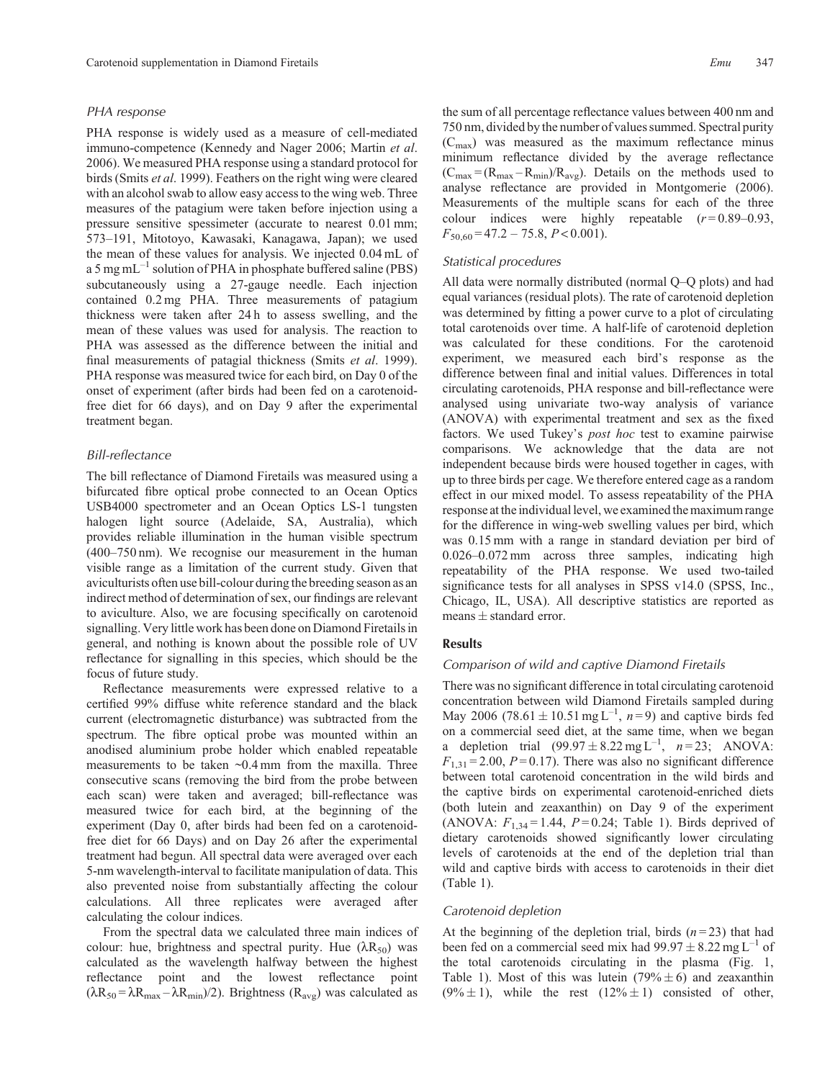## *PHA response*

PHA response is widely used as a measure of cell-mediated immuno-competence ([Kennedy and Nager 2006](#page-6-0); [Martin](#page-6-0) *et al*. [2006](#page-6-0)). We measured PHA response using a standard protocol for birds (Smits *et al*[. 1999](#page-7-0)). Feathers on the right wing were cleared with an alcohol swab to allow easy access to the wing web. Three measures of the patagium were taken before injection using a pressure sensitive spessimeter (accurate to nearest 0.01 mm; 573–191, Mitotoyo, Kawasaki, Kanagawa, Japan); we used the mean of these values for analysis. We injected 0.04 mL of a 5 mg mL $^{-1}$  solution of PHA in phosphate buffered saline (PBS) subcutaneously using a 27-gauge needle. Each injection contained 0.2 mg PHA. Three measurements of patagium thickness were taken after 24 h to assess swelling, and the mean of these values was used for analysis. The reaction to PHA was assessed as the difference between the initial and final measurements of patagial thickness (Smits *et al*[. 1999](#page-7-0)). PHA response was measured twice for each bird, on Day 0 of the onset of experiment (after birds had been fed on a carotenoidfree diet for 66 days), and on Day 9 after the experimental treatment began.

# *Bill-reflectance*

The bill reflectance of Diamond Firetails was measured using a bifurcated fibre optical probe connected to an Ocean Optics USB4000 spectrometer and an Ocean Optics LS-1 tungsten halogen light source (Adelaide, SA, Australia), which provides reliable illumination in the human visible spectrum (400–750 nm). We recognise our measurement in the human visible range as a limitation of the current study. Given that aviculturists often use bill-colour during the breeding season as an indirect method of determination of sex, our findings are relevant to aviculture. Also, we are focusing specifically on carotenoid signalling. Very little work has been done on Diamond Firetails in general, and nothing is known about the possible role of UV reflectance for signalling in this species, which should be the focus of future study.

Reflectance measurements were expressed relative to a certified 99% diffuse white reference standard and the black current (electromagnetic disturbance) was subtracted from the spectrum. The fibre optical probe was mounted within an anodised aluminium probe holder which enabled repeatable measurements to be taken ~0.4 mm from the maxilla. Three consecutive scans (removing the bird from the probe between each scan) were taken and averaged; bill-reflectance was measured twice for each bird, at the beginning of the experiment (Day 0, after birds had been fed on a carotenoidfree diet for 66 Days) and on Day 26 after the experimental treatment had begun. All spectral data were averaged over each 5-nm wavelength-interval to facilitate manipulation of data. This also prevented noise from substantially affecting the colour calculations. All three replicates were averaged after calculating the colour indices.

From the spectral data we calculated three main indices of colour: hue, brightness and spectral purity. Hue  $(\lambda R_{50})$  was calculated as the wavelength halfway between the highest reflectance point and the lowest reflectance point  $(\lambda R_{50} = \lambda R_{max} - \lambda R_{min})/2$ ). Brightness ( $R_{avg}$ ) was calculated as

the sum of all percentage reflectance values between 400 nm and 750 nm, divided by the number of values summed. Spectral purity  $(C_{\text{max}})$  was measured as the maximum reflectance minus minimum reflectance divided by the average reflectance  $(C_{\text{max}} = (R_{\text{max}} - R_{\text{min}})/R_{\text{avg}})$ . Details on the methods used to analyse reflectance are provided in [Montgomerie \(2006\)](#page-7-0). Measurements of the multiple scans for each of the three colour indices were highly repeatable  $(r=0.89-0.93)$ , *F*50,60 = 47.2 – 75.8, *P* < 0.001).

## *Statistical procedures*

All data were normally distributed (normal Q–Q plots) and had equal variances (residual plots). The rate of carotenoid depletion was determined by fitting a power curve to a plot of circulating total carotenoids over time. A half-life of carotenoid depletion was calculated for these conditions. For the carotenoid experiment, we measured each bird's response as the difference between final and initial values. Differences in total circulating carotenoids, PHA response and bill-reflectance were analysed using univariate two-way analysis of variance (ANOVA) with experimental treatment and sex as the fixed factors. We used Tukey's *post hoc* test to examine pairwise comparisons. We acknowledge that the data are not independent because birds were housed together in cages, with up to three birds per cage. We therefore entered cage as a random effect in our mixed model. To assess repeatability of the PHA response at the individual level, we examined the maximum range for the difference in wing-web swelling values per bird, which was 0.15 mm with a range in standard deviation per bird of 0.026–0.072 mm across three samples, indicating high repeatability of the PHA response. We used two-tailed significance tests for all analyses in SPSS v14.0 (SPSS, Inc., Chicago, IL, USA). All descriptive statistics are reported as means  $\pm$  standard error.

# **Results**

#### *Comparison of wild and captive Diamond Firetails*

There was no significant difference in total circulating carotenoid concentration between wild Diamond Firetails sampled during May 2006 (78.61  $\pm$  10.51 mg L<sup>-1</sup>, *n*=9) and captive birds fed on a commercial seed diet, at the same time, when we began a depletion trial  $(99.97 \pm 8.22 \text{ mg L}^{-1}, n = 23; ANOVA$ :  $F_{1,31} = 2.00$ ,  $P = 0.17$ ). There was also no significant difference between total carotenoid concentration in the wild birds and the captive birds on experimental carotenoid-enriched diets (both lutein and zeaxanthin) on Day 9 of the experiment (ANOVA:  $F_{1,34} = 1.44$ ,  $P = 0.24$ ; [Table 1](#page-1-0)). Birds deprived of dietary carotenoids showed significantly lower circulating levels of carotenoids at the end of the depletion trial than wild and captive birds with access to carotenoids in their diet [\(Table 1](#page-1-0)).

## *Carotenoid depletion*

At the beginning of the depletion trial, birds  $(n=23)$  that had been fed on a commercial seed mix had  $99.97 \pm 8.22$  mg L<sup>-1</sup> of the total carotenoids circulating in the plasma [\(Fig. 1](#page-2-0), [Table 1\)](#page-1-0). Most of this was lutein  $(79\% \pm 6)$  and zeaxanthin  $(9\% \pm 1)$ , while the rest  $(12\% \pm 1)$  consisted of other,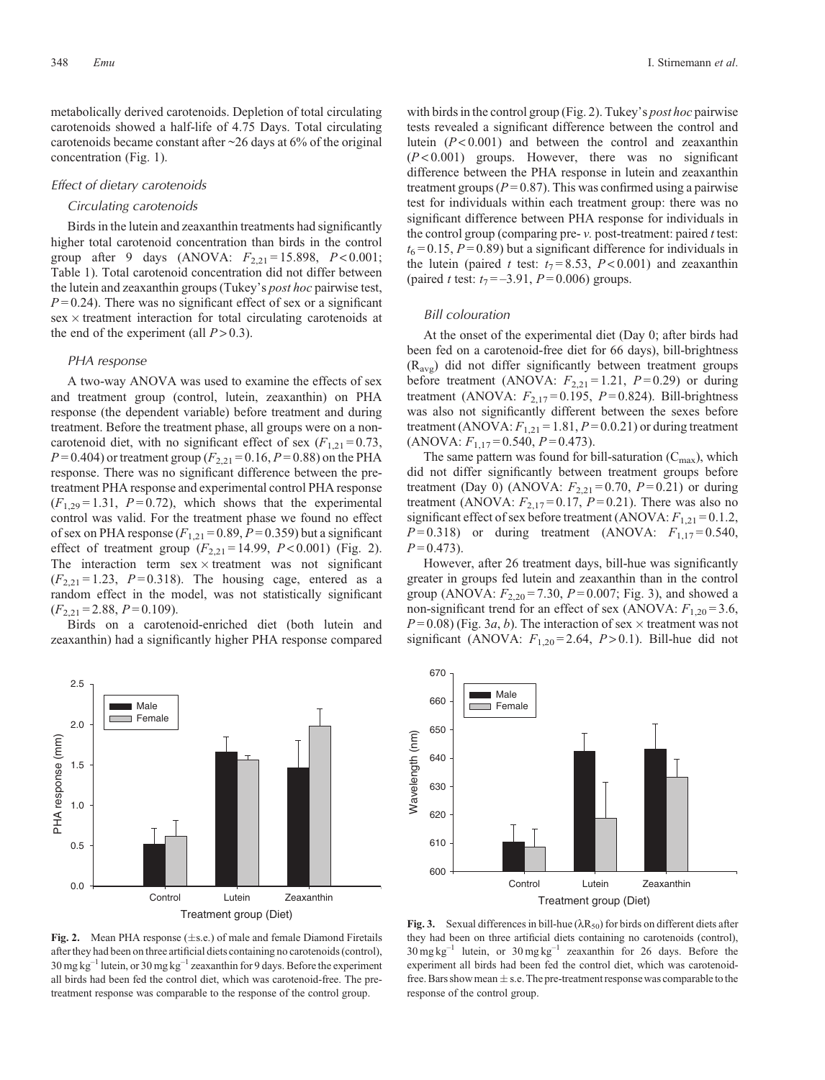<span id="page-4-0"></span>metabolically derived carotenoids. Depletion of total circulating carotenoids showed a half-life of 4.75 Days. Total circulating carotenoids became constant after  $\sim$ 26 days at 6% of the original concentration [\(Fig. 1\)](#page-2-0).

#### *Effect of dietary carotenoids*

## *Circulating carotenoids*

Birds in the lutein and zeaxanthin treatments had significantly higher total carotenoid concentration than birds in the control group after 9 days (ANOVA:  $F_{2,21} = 15.898$ ,  $P < 0.001$ ; [Table 1](#page-1-0)). Total carotenoid concentration did not differ between the lutein and zeaxanthin groups (Tukey's *post hoc* pairwise test,  $P = 0.24$ ). There was no significant effect of sex or a significant  $sex \times treatment$  interaction for total circulating carotenoids at the end of the experiment (all  $P > 0.3$ ).

## *PHA response*

A two-way ANOVA was used to examine the effects of sex and treatment group (control, lutein, zeaxanthin) on PHA response (the dependent variable) before treatment and during treatment. Before the treatment phase, all groups were on a noncarotenoid diet, with no significant effect of sex  $(F_{1,21} = 0.73)$ ,  $P = 0.404$ ) or treatment group ( $F_{2,21} = 0.16$ ,  $P = 0.88$ ) on the PHA response. There was no significant difference between the pretreatment PHA response and experimental control PHA response  $(F_{1,29} = 1.31, P = 0.72)$ , which shows that the experimental control was valid. For the treatment phase we found no effect of sex on PHA response  $(F_{1,21} = 0.89, P = 0.359)$  but a significant effect of treatment group  $(F_{2,21} = 14.99, P < 0.001)$  (Fig. 2). The interaction term  $sex \times treatment$  was not significant  $(F_{2,21} = 1.23, P = 0.318)$ . The housing cage, entered as a random effect in the model, was not statistically significant  $(F_{2,21} = 2.88, P = 0.109).$ 

Birds on a carotenoid-enriched diet (both lutein and zeaxanthin) had a significantly higher PHA response compared



620

with birds in the control group (Fig. 2). Tukey's *post hoc* pairwise tests revealed a significant difference between the control and lutein (*P* < 0.001) and between the control and zeaxanthin (*P* < 0.001) groups. However, there was no significant difference between the PHA response in lutein and zeaxanthin treatment groups  $(P = 0.87)$ . This was confirmed using a pairwise test for individuals within each treatment group: there was no significant difference between PHA response for individuals in the control group (comparing pre- *v.* post-treatment: paired *t* test:  $t_6 = 0.15$ ,  $P = 0.89$ ) but a significant difference for individuals in the lutein (paired *t* test:  $t_7 = 8.53$ ,  $P < 0.001$ ) and zeaxanthin (paired *t* test:  $t_7 = -3.91$ ,  $P = 0.006$ ) groups.

## *Bill colouration*

At the onset of the experimental diet (Day 0; after birds had been fed on a carotenoid-free diet for 66 days), bill-brightness  $(R_{\text{av}})$  did not differ significantly between treatment groups before treatment (ANOVA:  $F_{2,21} = 1.21$ ,  $P = 0.29$ ) or during treatment (ANOVA:  $F_{2,17} = 0.195$ ,  $P = 0.824$ ). Bill-brightness was also not significantly different between the sexes before treatment (ANOVA:  $F_{1,21} = 1.81$ ,  $P = 0.0.21$ ) or during treatment  $(ANOVA: F<sub>1,17</sub> = 0.540, P = 0.473).$ 

The same pattern was found for bill-saturation  $(C_{\text{max}})$ , which did not differ significantly between treatment groups before treatment (Day 0) (ANOVA:  $F_{2,21} = 0.70$ ,  $P = 0.21$ ) or during treatment (ANOVA:  $F_{2,17}$ =0.17,  $P$ =0.21). There was also no significant effect of sex before treatment (ANOVA:  $F_{1,21} = 0.1.2$ ,  $P = 0.318$ ) or during treatment (ANOVA:  $F_{1,17} = 0.540$ ,  $P = 0.473$ .

However, after 26 treatment days, bill-hue was significantly greater in groups fed lutein and zeaxanthin than in the control group (ANOVA:  $F_{2,20} = 7.30$ ,  $P = 0.007$ ; Fig. 3), and showed a non-significant trend for an effect of sex (ANOVA:  $F_{1,20} = 3.6$ ,  $P = 0.08$ ) (Fig. 3*a*, *b*). The interaction of sex  $\times$  treatment was not significant (ANOVA:  $F_{1,20} = 2.64$ ,  $P > 0.1$ ). Bill-hue did not



**Fig. 2.** Mean PHA response  $(\pm s.e.)$  of male and female Diamond Firetails after they had been on three artificial diets containing no carotenoids (control),  $30 \text{ mg kg}^{-1}$  lutein, or  $30 \text{ mg kg}^{-1}$  zeaxanthin for 9 days. Before the experiment all birds had been fed the control diet, which was carotenoid-free. The pretreatment response was comparable to the response of the control group.

**Fig. 3.** Sexual differences in bill-hue  $(\lambda R_{50})$  for birds on different diets after they had been on three artificial diets containing no carotenoids (control),  $30 \text{ mg kg}^{-1}$  lutein, or  $30 \text{ mg kg}^{-1}$  zeaxanthin for 26 days. Before the experiment all birds had been fed the control diet, which was carotenoidfree. Bars show mean  $\pm$  s.e. The pre-treatment response was comparable to the response of the control group.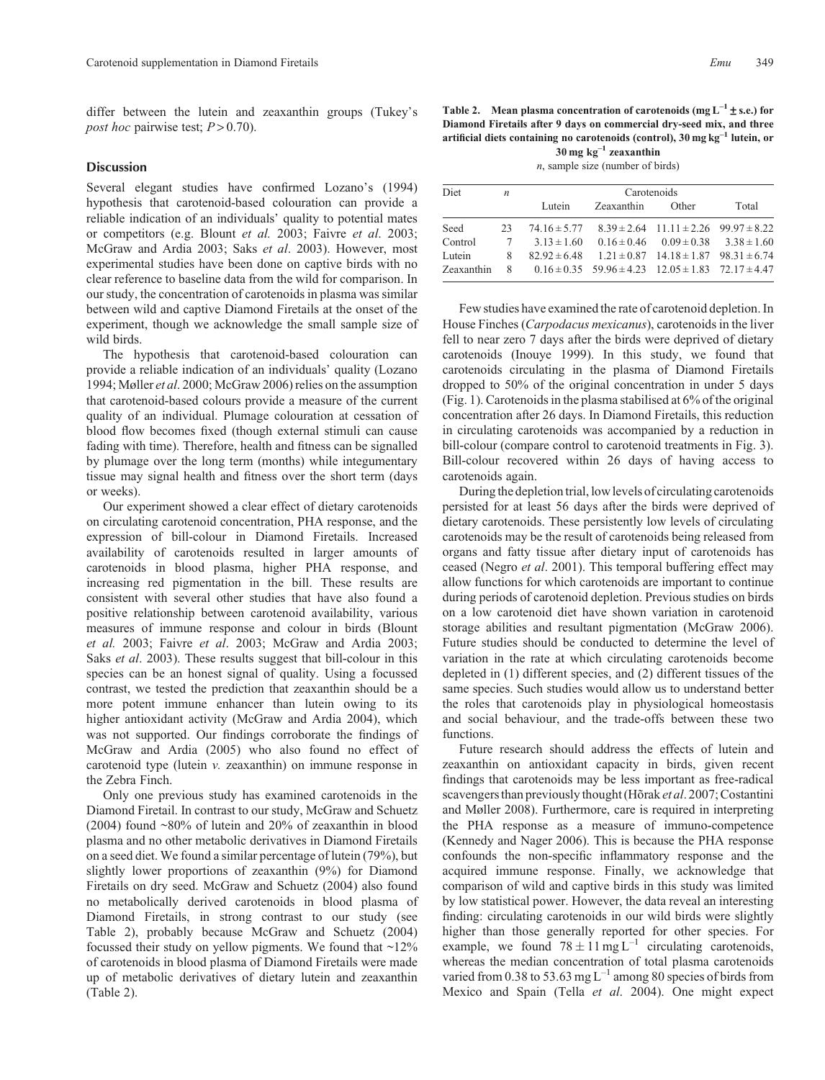differ between the lutein and zeaxanthin groups (Tukey's *post hoc* pairwise test;  $P > 0.70$ .

#### **Discussion**

Several elegant studies have confirmed [Lozano](#page-6-0)'[s \(1994\)](#page-6-0) hypothesis that carotenoid-based colouration can provide a reliable indication of an individuals' quality to potential mates or competitors (e.g. [Blount](#page-6-0) *et al.* 2003; Faivre *et al*[. 2003;](#page-6-0) [McGraw and Ardia 2003](#page-6-0); Saks *et al*[. 2003](#page-7-0)). However, most experimental studies have been done on captive birds with no clear reference to baseline data from the wild for comparison. In our study, the concentration of carotenoids in plasma was similar between wild and captive Diamond Firetails at the onset of the experiment, though we acknowledge the small sample size of wild birds.

The hypothesis that carotenoid-based colouration can provide a reliable indication of an individuals' quality [\(Lozano](#page-6-0) [1994](#page-6-0); [Møller](#page-7-0) *et al*. 2000; [McGraw 2006\)](#page-6-0) relies on the assumption that carotenoid-based colours provide a measure of the current quality of an individual. Plumage colouration at cessation of blood flow becomes fixed (though external stimuli can cause fading with time). Therefore, health and fitness can be signalled by plumage over the long term (months) while integumentary tissue may signal health and fitness over the short term (days or weeks).

Our experiment showed a clear effect of dietary carotenoids on circulating carotenoid concentration, PHA response, and the expression of bill-colour in Diamond Firetails. Increased availability of carotenoids resulted in larger amounts of carotenoids in blood plasma, higher PHA response, and increasing red pigmentation in the bill. These results are consistent with several other studies that have also found a positive relationship between carotenoid availability, various measures of immune response and colour in birds ([Blount](#page-6-0) *[et al.](#page-6-0)* 2003; Faivre *et al*[. 2003](#page-6-0); [McGraw and Ardia 2003;](#page-6-0) Saks *et al*[. 2003\)](#page-7-0). These results suggest that bill-colour in this species can be an honest signal of quality. Using a focussed contrast, we tested the prediction that zeaxanthin should be a more potent immune enhancer than lutein owing to its higher antioxidant activity ([McGraw and Ardia 2004](#page-7-0)), which was not supported. Our findings corroborate the findings of [McGraw and Ardia \(2005\)](#page-7-0) who also found no effect of carotenoid type (lutein *v.* zeaxanthin) on immune response in the Zebra Finch.

Only one previous study has examined carotenoids in the Diamond Firetail. In contrast to our study, [McGraw and Schuetz](#page-7-0) [\(2004\)](#page-7-0) found ~80% of lutein and 20% of zeaxanthin in blood plasma and no other metabolic derivatives in Diamond Firetails on a seed diet. We found a similar percentage of lutein (79%), but slightly lower proportions of zeaxanthin (9%) for Diamond Firetails on dry seed. [McGraw and Schuetz \(2004\)](#page-7-0) also found no metabolically derived carotenoids in blood plasma of Diamond Firetails, in strong contrast to our study (see Table 2), probably because [McGraw and Schuetz \(2004\)](#page-7-0) focussed their study on yellow pigments. We found that  $\sim$ 12% of carotenoids in blood plasma of Diamond Firetails were made up of metabolic derivatives of dietary lutein and zeaxanthin (Table 2).

**Table 2. Mean plasma concentration of carotenoids (mg L–<sup>1</sup> s.e.) for Diamond Firetails after 9 days on commercial dry-seed mix, and three artificial diets containing no carotenoids (control), 30 mg kg–<sup>1</sup> lutein, or 30 mg kg–<sup>1</sup> zeaxanthin**

*n*, sample size (number of birds)

| <b>Diet</b> | $\boldsymbol{n}$ | Carotenoids     |                                                                    |                                                 |       |  |
|-------------|------------------|-----------------|--------------------------------------------------------------------|-------------------------------------------------|-------|--|
|             |                  | Lutein          | Zeaxanthin                                                         | Other                                           | Total |  |
| Seed        | 23               |                 | $74.16 \pm 5.77$ $8.39 \pm 2.64$ $11.11 \pm 2.26$ $99.97 \pm 8.22$ |                                                 |       |  |
| Control     | 7                | $3.13 \pm 1.60$ |                                                                    | $0.16 \pm 0.46$ $0.09 \pm 0.38$ $3.38 \pm 1.60$ |       |  |
| Lutein      | 8                |                 | $82.92 \pm 6.48$ $1.21 \pm 0.87$ $14.18 \pm 1.87$ $98.31 \pm 6.74$ |                                                 |       |  |
| Zeaxanthin  | 8                |                 | $0.16 \pm 0.35$ 59.96 $\pm 4.23$ 12.05 $\pm 1.83$ 72.17 $\pm 4.47$ |                                                 |       |  |

Few studies have examined the rate of carotenoid depletion. In House Finches (*Carpodacus mexicanus*), carotenoids in the liver fell to near zero 7 days after the birds were deprived of dietary carotenoids [\(Inouye 1999](#page-6-0)). In this study, we found that carotenoids circulating in the plasma of Diamond Firetails dropped to 50% of the original concentration in under 5 days [\(Fig. 1\)](#page-2-0). Carotenoids in the plasma stabilised at 6% of the original concentration after 26 days. In Diamond Firetails, this reduction in circulating carotenoids was accompanied by a reduction in bill-colour (compare control to carotenoid treatments in [Fig. 3](#page-4-0)). Bill-colour recovered within 26 days of having access to carotenoids again.

During the depletion trial, low levels of circulating carotenoids persisted for at least 56 days after the birds were deprived of dietary carotenoids. These persistently low levels of circulating carotenoids may be the result of carotenoids being released from organs and fatty tissue after dietary input of carotenoids has ceased (Negro *et al*[. 2001](#page-7-0)). This temporal buffering effect may allow functions for which carotenoids are important to continue during periods of carotenoid depletion. Previous studies on birds on a low carotenoid diet have shown variation in carotenoid storage abilities and resultant pigmentation [\(McGraw 2006](#page-6-0)). Future studies should be conducted to determine the level of variation in the rate at which circulating carotenoids become depleted in (1) different species, and (2) different tissues of the same species. Such studies would allow us to understand better the roles that carotenoids play in physiological homeostasis and social behaviour, and the trade-offs between these two functions.

Future research should address the effects of lutein and zeaxanthin on antioxidant capacity in birds, given recent findings that carotenoids may be less important as free-radical scavengers than previously thought [\(Hõrak](#page-6-0) *et al*. 2007; [Costantini](#page-6-0) [and Møller 2008](#page-6-0)). Furthermore, care is required in interpreting the PHA response as a measure of immuno-competence [\(Kennedy and Nager 2006](#page-6-0)). This is because the PHA response confounds the non-specific inflammatory response and the acquired immune response. Finally, we acknowledge that comparison of wild and captive birds in this study was limited by low statistical power. However, the data reveal an interesting finding: circulating carotenoids in our wild birds were slightly higher than those generally reported for other species. For example, we found  $78 \pm 11 \text{ mg L}^{-1}$  circulating carotenoids, whereas the median concentration of total plasma carotenoids varied from 0.38 to 53.63 mg  $L^{-1}$  among 80 species of birds from Mexico and Spain (Tella *et al*[. 2004](#page-7-0)). One might expect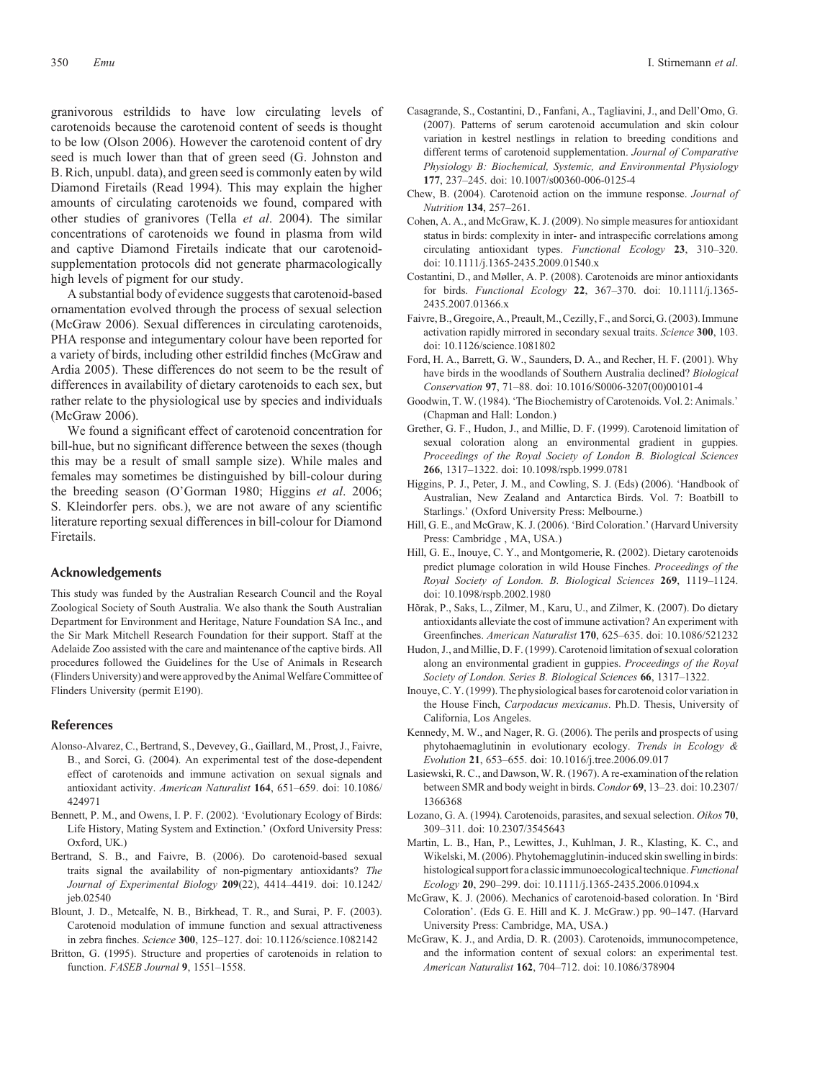<span id="page-6-0"></span>granivorous estrildids to have low circulating levels of carotenoids because the carotenoid content of seeds is thought to be low ([Olson 2006\)](#page-7-0). However the carotenoid content of dry seed is much lower than that of green seed (G. Johnston and B. Rich, unpubl. data), and green seed is commonly eaten by wild Diamond Firetails [\(Read 1994](#page-7-0)). This may explain the higher amounts of circulating carotenoids we found, compared with other studies of granivores (Tella *et al*[. 2004](#page-7-0)). The similar concentrations of carotenoids we found in plasma from wild and captive Diamond Firetails indicate that our carotenoidsupplementation protocols did not generate pharmacologically high levels of pigment for our study.

A substantial body of evidence suggests that carotenoid-based ornamentation evolved through the process of sexual selection (McGraw 2006). Sexual differences in circulating carotenoids, PHA response and integumentary colour have been reported for a variety of birds, including other estrildid finches ([McGraw and](#page-7-0) [Ardia 2005\)](#page-7-0). These differences do not seem to be the result of differences in availability of dietary carotenoids to each sex, but rather relate to the physiological use by species and individuals (McGraw 2006).

We found a significant effect of carotenoid concentration for bill-hue, but no significant difference between the sexes (though this may be a result of small sample size). While males and females may sometimes be distinguished by bill-colour during the breeding season ([O](#page-7-0)'[Gorman 1980](#page-7-0); Higgins *et al*. 2006; S. Kleindorfer pers. obs.), we are not aware of any scientific literature reporting sexual differences in bill-colour for Diamond Firetails.

# **Acknowledgements**

This study was funded by the Australian Research Council and the Royal Zoological Society of South Australia. We also thank the South Australian Department for Environment and Heritage, Nature Foundation SA Inc., and the Sir Mark Mitchell Research Foundation for their support. Staff at the Adelaide Zoo assisted with the care and maintenance of the captive birds. All procedures followed the Guidelines for the Use of Animals in Research (Flinders University) and were approved by the Animal Welfare Committee of Flinders University (permit E190).

#### **References**

- Alonso-Alvarez, C., Bertrand, S., Devevey, G., Gaillard, M., Prost, J., Faivre, B., and Sorci, G. (2004). An experimental test of the dose-dependent effect of carotenoids and immune activation on sexual signals and antioxidant activity. *American Naturalist* **164**, 651–659. doi: 10.1086/ 424971
- Bennett, P. M., and Owens, I. P. F. (2002). 'Evolutionary Ecology of Birds: Life History, Mating System and Extinction.' (Oxford University Press: Oxford, UK.)
- Bertrand, S. B., and Faivre, B. (2006). Do carotenoid-based sexual traits signal the availability of non-pigmentary antioxidants? *The Journal of Experimental Biology* **209**(22), 4414–4419. doi: 10.1242/ jeb.02540
- Blount, J. D., Metcalfe, N. B., Birkhead, T. R., and Surai, P. F. (2003). Carotenoid modulation of immune function and sexual attractiveness in zebra finches. *Science* **300**, 125–127. doi: 10.1126/science.1082142
- Britton, G. (1995). Structure and properties of carotenoids in relation to function. *FASEB Journal* **9**, 1551–1558.
- Casagrande, S., Costantini, D., Fanfani, A., Tagliavini, J., and Dell'Omo, G. (2007). Patterns of serum carotenoid accumulation and skin colour variation in kestrel nestlings in relation to breeding conditions and different terms of carotenoid supplementation. *Journal of Comparative Physiology B: Biochemical, Systemic, and Environmental Physiology* **177**, 237–245. doi: 10.1007/s00360-006-0125-4
- Chew, B. (2004). Carotenoid action on the immune response. *Journal of Nutrition* **134**, 257–261.
- Cohen, A. A., and McGraw, K. J. (2009). No simple measures for antioxidant status in birds: complexity in inter- and intraspecific correlations among circulating antioxidant types. *Functional Ecology* **23**, 310–320. doi: 10.1111/j.1365-2435.2009.01540.x
- Costantini, D., and Møller, A. P. (2008). Carotenoids are minor antioxidants for birds. *Functional Ecology* **22**, 367–370. doi: 10.1111/j.1365- 2435.2007.01366.x
- Faivre, B., Gregoire, A., Preault,M.,Cezilly, F., and Sorci, G. (2003). Immune activation rapidly mirrored in secondary sexual traits. *Science* **300**, 103. doi: 10.1126/science.1081802
- Ford, H. A., Barrett, G. W., Saunders, D. A., and Recher, H. F. (2001). Why have birds in the woodlands of Southern Australia declined? *Biological Conservation* **97**, 71–88. doi: 10.1016/S0006-3207(00)00101-4
- Goodwin, T. W. (1984).'The Biochemistry of Carotenoids. Vol. 2: Animals.' (Chapman and Hall: London.)
- Grether, G. F., Hudon, J., and Millie, D. F. (1999). Carotenoid limitation of sexual coloration along an environmental gradient in guppies. *Proceedings of the Royal Society of London B. Biological Sciences* **266**, 1317–1322. doi: 10.1098/rspb.1999.0781
- Higgins, P. J., Peter, J. M., and Cowling, S. J. (Eds) (2006). 'Handbook of Australian, New Zealand and Antarctica Birds. Vol. 7: Boatbill to Starlings.' (Oxford University Press: Melbourne.)
- Hill, G. E., and McGraw, K. J. (2006). 'Bird Coloration.' (Harvard University Press: Cambridge , MA, USA.)
- Hill, G. E., Inouye, C. Y., and Montgomerie, R. (2002). Dietary carotenoids predict plumage coloration in wild House Finches. *Proceedings of the Royal Society of London. B. Biological Sciences* **269**, 1119–1124. doi: 10.1098/rspb.2002.1980
- Hõrak, P., Saks, L., Zilmer, M., Karu, U., and Zilmer, K. (2007). Do dietary antioxidants alleviate the cost of immune activation? An experiment with Greenfinches. *American Naturalist* **170**, 625–635. doi: 10.1086/521232
- Hudon, J., and Millie, D. F. (1999). Carotenoid limitation of sexual coloration along an environmental gradient in guppies. *Proceedings of the Royal Society of London. Series B. Biological Sciences* **66**, 1317–1322.
- Inouye, C. Y. (1999). The physiological bases for carotenoid color variation in the House Finch, *Carpodacus mexicanus*. Ph.D. Thesis, University of California, Los Angeles.
- Kennedy, M. W., and Nager, R. G. (2006). The perils and prospects of using phytohaemaglutinin in evolutionary ecology. *Trends in Ecology & Evolution* **21**, 653–655. doi: 10.1016/j.tree.2006.09.017
- Lasiewski, R. C., and Dawson, W. R. (1967). A re-examination of the relation between SMR and body weight in birds. *Condor* **69**, 13–23. doi: 10.2307/ 1366368
- Lozano, G. A. (1994). Carotenoids, parasites, and sexual selection. *Oikos* **70**, 309–311. doi: 10.2307/3545643
- Martin, L. B., Han, P., Lewittes, J., Kuhlman, J. R., Klasting, K. C., and Wikelski, M. (2006). Phytohemagglutinin-induced skin swelling in birds: histological support for a classicimmunoecologicaltechnique.*Functional Ecology* **20**, 290–299. doi: 10.1111/j.1365-2435.2006.01094.x
- McGraw, K. J. (2006). Mechanics of carotenoid-based coloration. In 'Bird Coloration'. (Eds G. E. Hill and K. J. McGraw.) pp. 90–147. (Harvard University Press: Cambridge, MA, USA.)
- McGraw, K. J., and Ardia, D. R. (2003). Carotenoids, immunocompetence, and the information content of sexual colors: an experimental test. *American Naturalist* **162**, 704–712. doi: 10.1086/378904